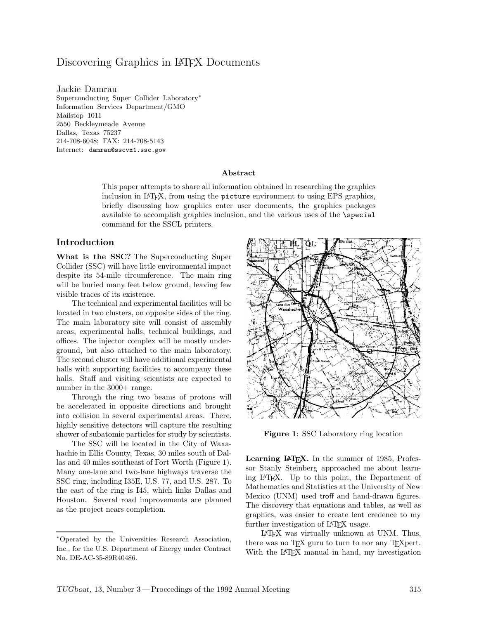# Discovering Graphics in LAT<sub>EX</sub> Documents

Jackie Damrau Superconducting Super Collider Laboratory<sup>∗</sup> Information Services Department/GMO Mailstop 1011 2550 Beckleymeade Avenue Dallas, Texas 75237 214-708-6048; FAX: 214-708-5143 Internet: damrau@sscvx1.ssc.gov

#### **Abstract**

This paper attempts to share all information obtained in researching the graphics inclusion in LATEX, from using the picture environment to using EPS graphics, briefly discussing how graphics enter user documents, the graphics packages available to accomplish graphics inclusion, and the various uses of the \special command for the SSCL printers.

#### **Introduction**

**What is the SSC?** The Superconducting Super Collider (SSC) will have little environmental impact despite its 54-mile circumference. The main ring will be buried many feet below ground, leaving few visible traces of its existence.

The technical and experimental facilities will be located in two clusters, on opposite sides of the ring. The main laboratory site will consist of assembly areas, experimental halls, technical buildings, and offices. The injector complex will be mostly underground, but also attached to the main laboratory. The second cluster will have additional experimental halls with supporting facilities to accompany these halls. Staff and visiting scientists are expected to number in the  $3000+$  range.

Through the ring two beams of protons will be accelerated in opposite directions and brought into collision in several experimental areas. There, highly sensitive detectors will capture the resulting shower of subatomic particles for study by scientists.

The SSCwill be located in the City of Waxahachie in Ellis County, Texas, 30 miles south of Dallas and 40 miles southeast of Fort Worth (Figure 1). Many one-lane and two-lane highways traverse the SSCring, including I35E, U.S. 77, and U.S. 287. To the east of the ring is I45, which links Dallas and Houston. Several road improvements are planned as the project nears completion.



Figure 1: SSC Laboratory ring location

Learning L<sup>A</sup>T<sub>E</sub>X. In the summer of 1985, Professor Stanly Steinberg approached me about learning LATEX. Up to this point, the Department of Mathematics and Statistics at the University of New Mexico (UNM) used troff and hand-drawn figures. The discovery that equations and tables, as well as graphics, was easier to create lent credence to my further investigation of LAT<sub>EX</sub> usage.

LATEX was virtually unknown at UNM. Thus, there was no TEX guru to turn to nor any TEXpert. With the LAT<sub>EX</sub> manual in hand, my investigation

<sup>∗</sup>Operated by the Universities Research Association, Inc., for the U.S. Department of Energy under Contract No. DE-AC-35-89R40486.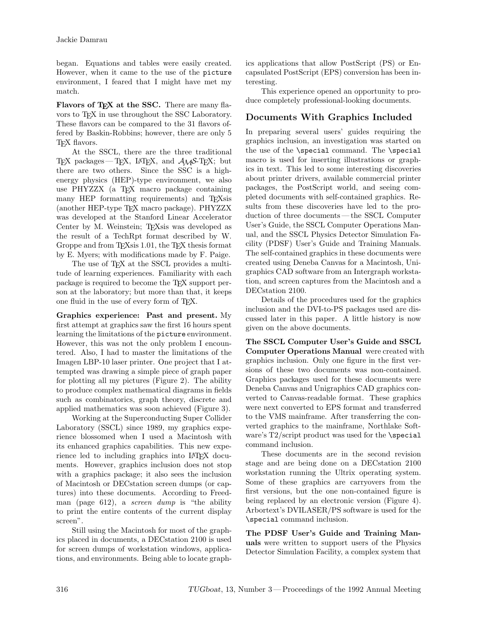began. Equations and tables were easily created. However, when it came to the use of the picture environment, I feared that I might have met my match.

**Flavors of T<sub>E</sub>X at the SSC.** There are many flavors to TEX in use throughout the SSCLaboratory. These flavors can be compared to the 31 flavors offered by Baskin-Robbins; however, there are only 5 TEX flavors.

At the SSCL, there are the three traditional TEX packages— TEX, LATEX, and *AMS*-TEX; but there are two others. Since the SSC is a highenergy physics (HEP)-type environment, we also use PHYZZX (a TEX macro package containing many HEP formatting requirements) and T<sub>E</sub>Xsis (another HEP-type TEX macro package). PHYZZX was developed at the Stanford Linear Accelerator Center by M. Weinstein; TEXsis was developed as the result of a TechRpt format described by W. Groppe and from TEXsis 1.01, the TEX thesis format by E. Myers; with modifications made by F. Paige.

The use of TFX at the SSCL provides a multitude of learning experiences. Familiarity with each package is required to become the TEX support person at the laboratory; but more than that, it keeps one fluid in the use of every form of T<sub>E</sub>X.

**Graphics experience: Past and present.** My first attempt at graphics saw the first 16 hours spent learning the limitations of the picture environment. However, this was not the only problem I encountered. Also, I had to master the limitations of the Imagen LBP-10 laser printer. One project that I attempted was drawing a simple piece of graph paper for plotting all my pictures (Figure 2). The ability to produce complex mathematical diagrams in fields such as combinatorics, graph theory, discrete and applied mathematics was soon achieved (Figure 3).

Working at the Superconducting Super Collider Laboratory (SSCL) since 1989, my graphics experience blossomed when I used a Macintosh with its enhanced graphics capabilities. This new experience led to including graphics into LAT<sub>EX</sub> documents. However, graphics inclusion does not stop with a graphics package; it also sees the inclusion of Macintosh or DECstation screen dumps (or captures) into these documents. According to Freedman (page 612), a *screen dump* is "the ability to print the entire contents of the current display screen".

Still using the Macintosh for most of the graphics placed in documents, a DECstation 2100 is used for screen dumps of workstation windows, applications, and environments. Being able to locate graphics applications that allow PostScript (PS) or Encapsulated PostScript (EPS) conversion has been interesting.

This experience opened an opportunity to produce completely professional-looking documents.

## **Documents With Graphics Included**

In preparing several users' guides requiring the graphics inclusion, an investigation was started on the use of the \special command. The \special macro is used for inserting illustrations or graphics in text. This led to some interesting discoveries about printer drivers, available commercial printer packages, the PostScript world, and seeing completed documents with self-contained graphics. Results from these discoveries have led to the production of three documents — the SSCL Computer User's Guide, the SSCL Computer Operations Manual, and the SSCL Physics Detector Simulation Facility (PDSF) User's Guide and Training Manuals. The self-contained graphics in these documents were created using Deneba Canvas for a Macintosh, Unigraphics CAD software from an Intergraph workstation, and screen captures from the Macintosh and a DECstation 2100.

Details of the procedures used for the graphics inclusion and the DVI-to-PS packages used are discussed later in this paper. A little history is now given on the above documents.

**The SSCL Computer User's Guide and SSCL Computer Operations Manual** were created with graphics inclusion. Only one figure in the first versions of these two documents was non-contained. Graphics packages used for these documents were Deneba Canvas and Unigraphics CAD graphics converted to Canvas-readable format. These graphics were next converted to EPS format and transferred to the VMS mainframe. After transferring the converted graphics to the mainframe, Northlake Software's T2/script product was used for the \special command inclusion.

These documents are in the second revision stage and are being done on a DECstation 2100 workstation running the Ultrix operating system. Some of these graphics are carryovers from the first versions, but the one non-contained figure is being replaced by an electronic version (Figure 4). Arbortext's DVILASER/PS software is used for the \special command inclusion.

**The PDSF User's Guide and Training Manuals** were written to support users of the Physics Detector Simulation Facility, a complex system that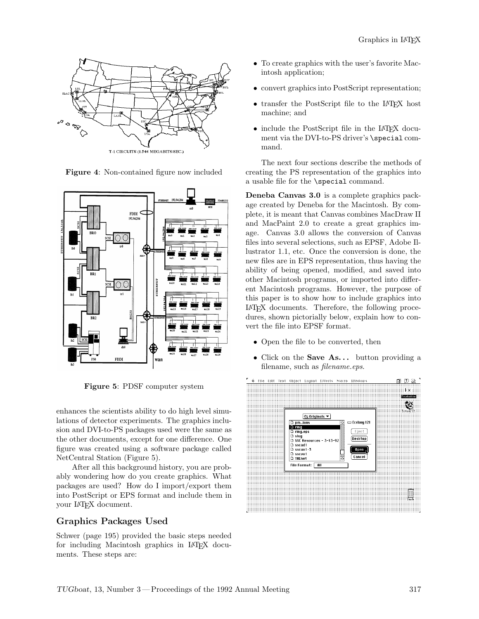

**Figure 4**: Non-contained figure now included



**Figure 5**: PDSF computer system

enhances the scientists ability to do high level simulations of detector experiments. The graphics inclusion and DVI-to-PS packages used were the same as the other documents, except for one difference. One figure was created using a software package called NetCentral Station (Figure 5).

After all this background history, you are probably wondering how do you create graphics. What packages are used? How do I import/export them into PostScript or EPS format and include them in your LATEX document.

## **Graphics Packages Used**

Schwer (page 195) provided the basic steps needed for including Macintosh graphics in LATEX documents. These steps are:

- *•* To create graphics with the user's favorite Macintosh application;
- convert graphics into PostScript representation;
- transfer the PostScript file to the LAT<sub>EX</sub> host machine; and
- include the PostScript file in the L<sup>AT</sup>EX document via the DVI-to-PS driver's \special command.

The next four sections describe the methods of creating the PS representation of the graphics into a usable file for the \special command.

**Deneba Canvas 3.0** is a complete graphics package created by Deneba for the Macintosh. By complete, it is meant that Canvas combines MacDraw II and MacPaint 2.0 to create a great graphics image. Canvas 3.0 allows the conversion of Canvas files into several selections, such as EPSF, Adobe Illustrator 1.1, etc. Once the conversion is done, the new files are in EPS representation, thus having the ability of being opened, modified, and saved into other Macintosh programs, or imported into different Macintosh programs. However, the purpose of this paper is to show how to include graphics into LATEX documents. Therefore, the following procedures, shown pictorially below, explain how to convert the file into EPSF format.

- Open the file to be converted, then
- Click on the **Save As...** button providing a filename, such as *filename.eps*.

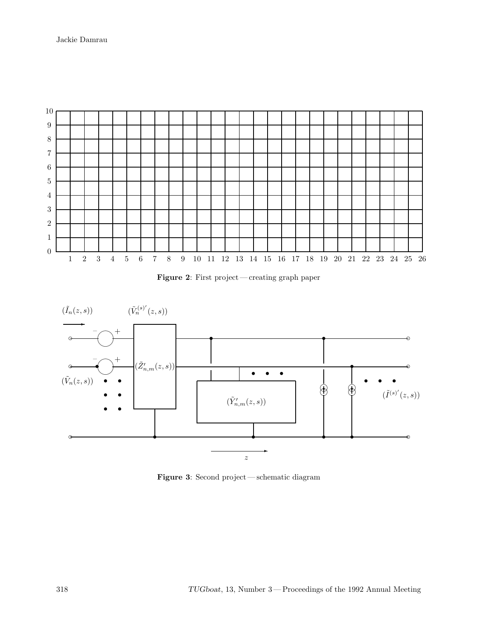Jackie Damrau







**Figure 3**: Second project— schematic diagram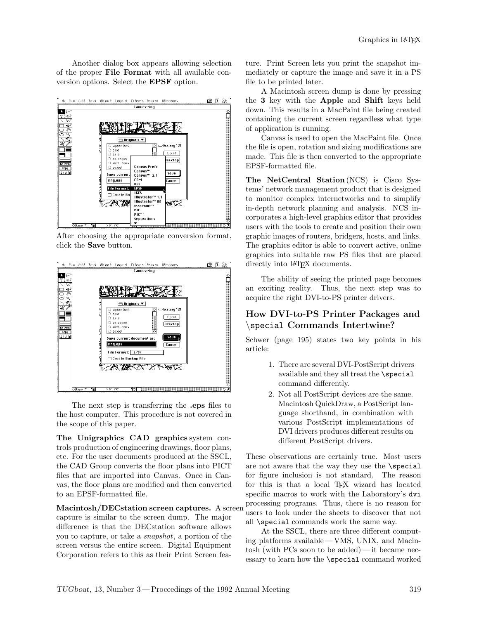Another dialog box appears allowing selection of the proper **File Format** with all available conversion options. Select the **EPSF** option.



After choosing the appropriate conversion format, click the **Save** button.



The next step is transferring the **.eps** files to the host computer. This procedure is not covered in the scope of this paper.

**The Unigraphics CAD graphics** system controls production of engineering drawings, floor plans, etc. For the user documents produced at the SSCL, the CAD Group converts the floor plans into PICT files that are imported into Canvas. Once in Canvas, the floor plans are modified and then converted to an EPSF-formatted file.

**Macintosh/DECstation screen captures.** A screen capture is similar to the screen dump. The major difference is that the DECstation software allows you to capture, or take a *snapshot*, a portion of the screen versus the entire screen. Digital Equipment Corporation refers to this as their Print Screen fea-

ture. Print Screen lets you print the snapshot immediately or capture the image and save it in a PS file to be printed later.

A Macintosh screen dump is done by pressing the **3** key with the **Apple** and **Shift** keys held down. This results in a MacPaint file being created containing the current screen regardless what type of application is running.

Canvas is used to open the MacPaint file. Once the file is open, rotation and sizing modifications are made. This file is then converted to the appropriate EPSF-formatted file.

**The NetCentral Station** (NCS) is Cisco Systems' network management product that is designed to monitor complex internetworks and to simplify in-depth network planning and analysis. NCS incorporates a high-level graphics editor that provides users with the tools to create and position their own graphic images of routers, bridgers, hosts, and links. The graphics editor is able to convert active, online graphics into suitable raw PS files that are placed directly into LAT<sub>FX</sub> documents.

The ability of seeing the printed page becomes an exciting reality. Thus, the next step was to acquire the right DVI-to-PS printer drivers.

## **How DVI-to-PS Printer Packages and** *\*special **Commands Intertwine?**

Schwer (page 195) states two key points in his article:

- 1. There are several DVI-PostScript drivers available and they all treat the \special command differently.
- 2. Not all PostScript devices are the same. Macintosh QuickDraw, a PostScript language shorthand, in combination with various PostScript implementations of DVI drivers produces different results on different PostScript drivers.

These observations are certainly true. Most users are not aware that the way they use the \special for figure inclusion is not standard. The reason for this is that a local TFX wizard has located specific macros to work with the Laboratory's dvi processing programs. Thus, there is no reason for users to look under the sheets to discover that not all \special commands work the same way.

At the SSCL, there are three different computing platforms available— VMS, UNIX, and Macintosh (with PCs soon to be added)— it became necessary to learn how the \special command worked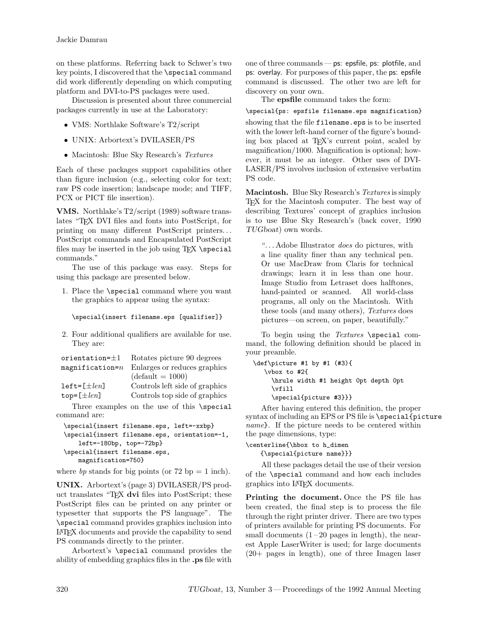on these platforms. Referring back to Schwer's two key points, I discovered that the **\special** command did work differently depending on which computing platform and DVI-to-PS packages were used.

Discussion is presented about three commercial packages currently in use at the Laboratory:

- *•* VMS: Northlake Software's T2/script
- *•* UNIX: Arbortext's DVILASER/PS
- *•* Macintosh: Blue Sky Research's *Textures*

Each of these packages support capabilities other than figure inclusion (e.g., selecting color for text; raw PS code insertion; landscape mode; and TIFF, PCX or PICT file insertion).

**VMS.** Northlake's T2/script (1989) software translates "TEX DVI files and fonts into PostScript, for printing on many different PostScript printers. . . PostScript commands and Encapsulated PostScript files may be inserted in the job using TEX \special commands."

The use of this package was easy. Steps for using this package are presented below.

1. Place the \special command where you want the graphics to appear using the syntax:

```
\special{insert filename.eps [qualifier]}
```
2. Four additional qualifiers are available for use. They are:

| $orientation=\pm 1$     | Rotates picture 90 degrees     |
|-------------------------|--------------------------------|
| $magnification = n$     | Enlarges or reduces graphics   |
|                         | $(detault = 1000)$             |
| $left[ \pm len \right]$ | Controls left side of graphics |
| top= $[\pm len]$        | Controls top side of graphics  |
|                         |                                |

Three examples on the use of this \special command are:

```
\special{insert filename.eps, left=-xxbp}
\special{insert filename.eps, orientation=-1,
   left=-180bp, top=-72bp}
\special{insert filename.eps,
   magnification=750}
```
where *bp* stands for big points (or  $72$  bp  $= 1$  inch).

**UNIX.** Arbortext's (page 3) DVILASER/PS product translates "TEX **dvi** files into PostScript; these PostScript files can be printed on any printer or typesetter that supports the PS language". The \special command provides graphics inclusion into LATEX documents and provide the capability to send PS commands directly to the printer.

Arbortext's \special command provides the ability of embedding graphics files in the **.ps** file with one of three commands— ps: epsfile, ps: plotfile, and ps: overlay. For purposes of this paper, the ps: epsfile command is discussed. The other two are left for discovery on your own.

The **epsfile** command takes the form:

\special{ps: epsfile filename.eps magnification}

showing that the file filename.eps is to be inserted with the lower left-hand corner of the figure's bounding box placed at TEX's current point, scaled by magnification/1000. Magnification is optional; however, it must be an integer. Other uses of DVI-LASER/PS involves inclusion of extensive verbatim PS code.

**Macintosh.** Blue Sky Research's *Textures* is simply TEX for the Macintosh computer. The best way of describing Textures' concept of graphics inclusion is to use Blue Sky Research's (back cover, 1990 *TUGboat*) own words.

". . . Adobe Illustrator *does* do pictures, with a line quality finer than any technical pen. Or use MacDraw from Claris for technical drawings; learn it in less than one hour. Image Studio from Letraset does halftones, hand-painted or scanned. All world-class programs, all only on the Macintosh. With these tools (and many others), *Textures* does pictures—on screen, on paper, beautifully."

To begin using the *Textures* \special command, the following definition should be placed in your preamble.

```
\def\picture #1 by #1 (#3){
  \vbox to #2{
    \hrule width #1 height 0pt depth 0pt
    \vfill
    \special{picture #3}}}
```
After having entered this definition, the proper syntax of including an EPS or PS file is \special{picture} *name*}. If the picture needs to be centered within the page dimensions, type:

```
\centerline{\hbox to h_dimen
   {\special{picture name}}}
```
All these packages detail the use of their version of the \special command and how each includes graphics into LATEX documents.

**Printing the document.** Once the PS file has been created, the final step is to process the file through the right printer driver. There are two types of printers available for printing PS documents. For small documents  $(1-20)$  pages in length), the nearest Apple LaserWriter is used; for large documents (20+ pages in length), one of three Imagen laser